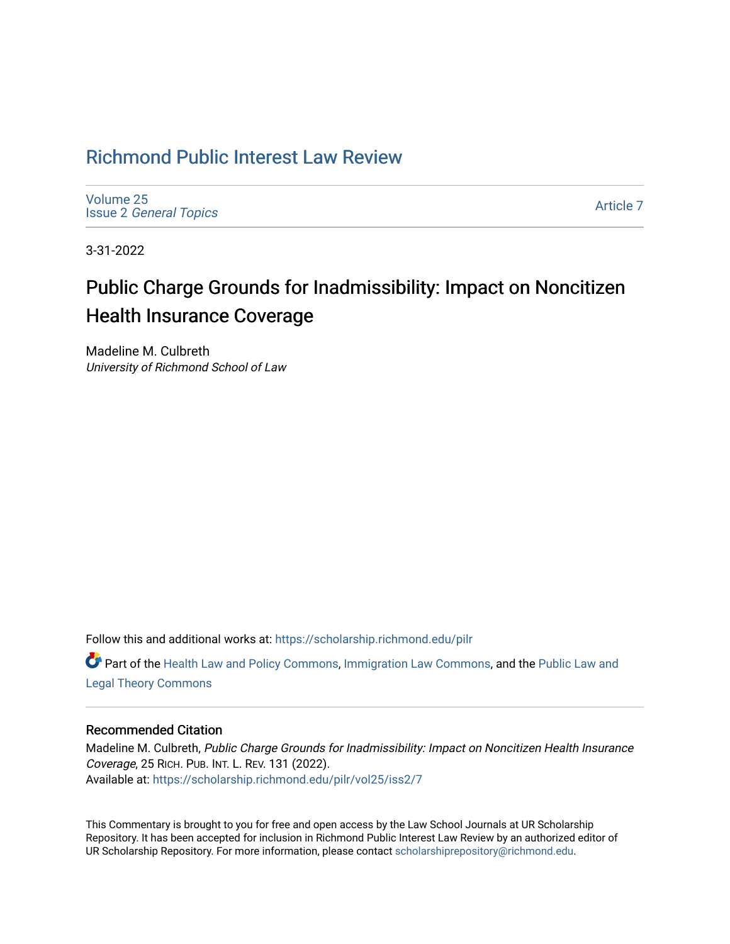## [Richmond Public Interest Law Review](https://scholarship.richmond.edu/pilr)

[Volume 25](https://scholarship.richmond.edu/pilr/vol25) Issue 2 [General Topics](https://scholarship.richmond.edu/pilr/vol25/iss2) 

[Article 7](https://scholarship.richmond.edu/pilr/vol25/iss2/7) 

3-31-2022

# Public Charge Grounds for Inadmissibility: Impact on Noncitizen Health Insurance Coverage

Madeline M. Culbreth University of Richmond School of Law

Follow this and additional works at: [https://scholarship.richmond.edu/pilr](https://scholarship.richmond.edu/pilr?utm_source=scholarship.richmond.edu%2Fpilr%2Fvol25%2Fiss2%2F7&utm_medium=PDF&utm_campaign=PDFCoverPages) 

Part of the [Health Law and Policy Commons](http://network.bepress.com/hgg/discipline/901?utm_source=scholarship.richmond.edu%2Fpilr%2Fvol25%2Fiss2%2F7&utm_medium=PDF&utm_campaign=PDFCoverPages), [Immigration Law Commons,](http://network.bepress.com/hgg/discipline/604?utm_source=scholarship.richmond.edu%2Fpilr%2Fvol25%2Fiss2%2F7&utm_medium=PDF&utm_campaign=PDFCoverPages) and the [Public Law and](http://network.bepress.com/hgg/discipline/871?utm_source=scholarship.richmond.edu%2Fpilr%2Fvol25%2Fiss2%2F7&utm_medium=PDF&utm_campaign=PDFCoverPages) [Legal Theory Commons](http://network.bepress.com/hgg/discipline/871?utm_source=scholarship.richmond.edu%2Fpilr%2Fvol25%2Fiss2%2F7&utm_medium=PDF&utm_campaign=PDFCoverPages) 

## Recommended Citation

Madeline M. Culbreth, Public Charge Grounds for Inadmissibility: Impact on Noncitizen Health Insurance Coverage, 25 RICH. PUB. INT. L. REV. 131 (2022). Available at: [https://scholarship.richmond.edu/pilr/vol25/iss2/7](https://scholarship.richmond.edu/pilr/vol25/iss2/7?utm_source=scholarship.richmond.edu%2Fpilr%2Fvol25%2Fiss2%2F7&utm_medium=PDF&utm_campaign=PDFCoverPages)

This Commentary is brought to you for free and open access by the Law School Journals at UR Scholarship Repository. It has been accepted for inclusion in Richmond Public Interest Law Review by an authorized editor of UR Scholarship Repository. For more information, please contact [scholarshiprepository@richmond.edu](mailto:scholarshiprepository@richmond.edu).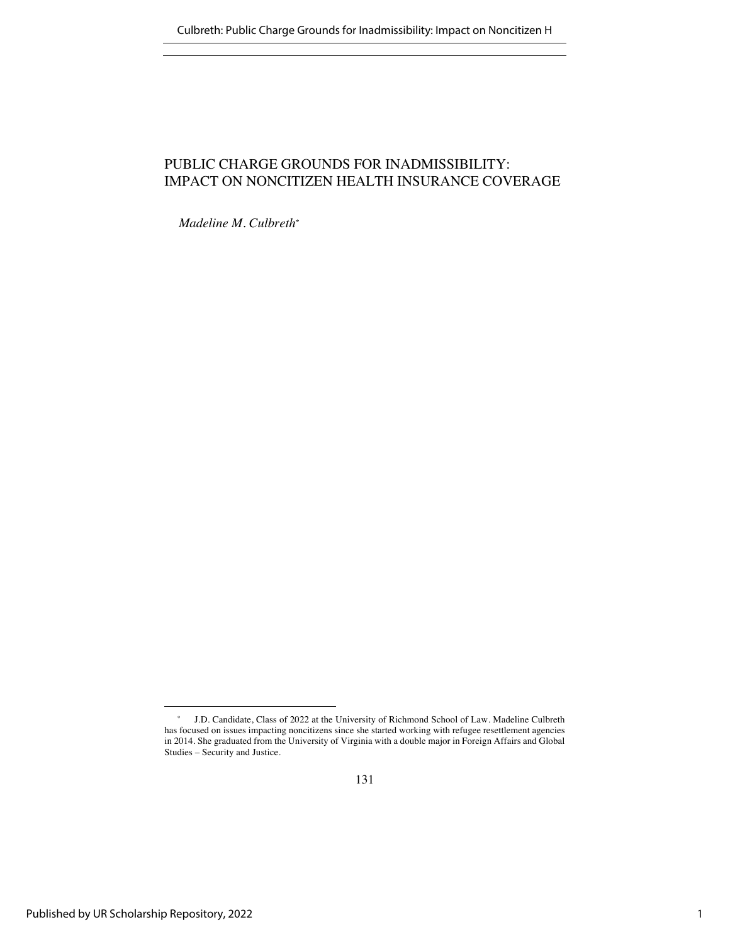## PUBLIC CHARGE GROUNDS FOR INADMISSIBILITY: IMPACT ON NONCITIZEN HEALTH INSURANCE COVERAGE

*Madeline M. Culbreth\**

<sup>\*</sup> J.D. Candidate, Class of 2022 at the University of Richmond School of Law. Madeline Culbreth has focused on issues impacting noncitizens since she started working with refugee resettlement agencies in 2014. She graduated from the University of Virginia with a double major in Foreign Affairs and Global Studies – Security and Justice.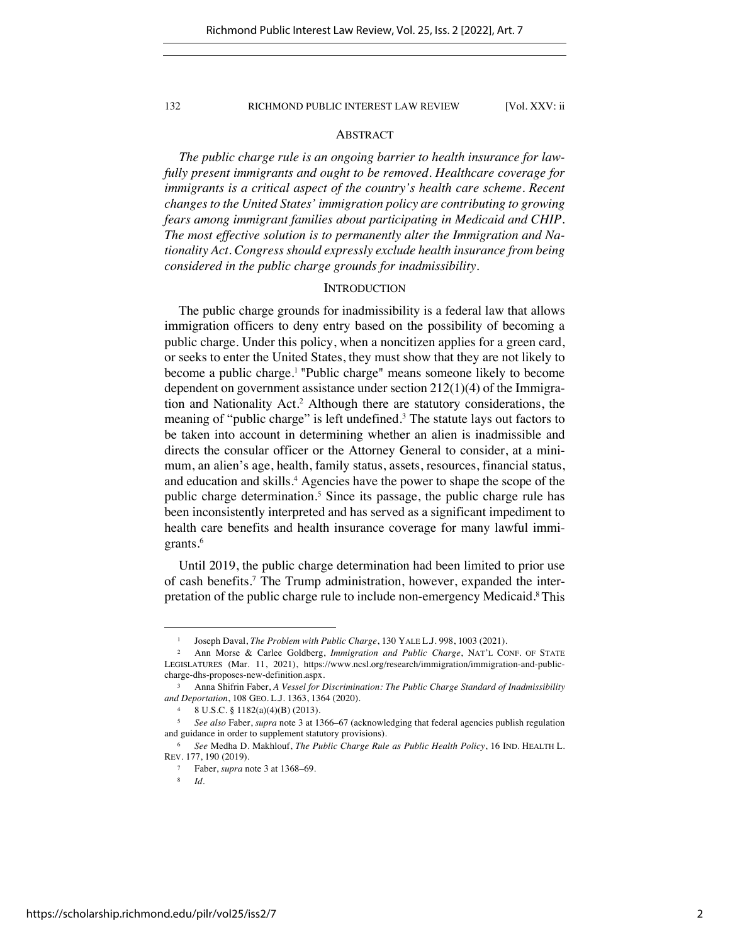## ABSTRACT

*The public charge rule is an ongoing barrier to health insurance for lawfully present immigrants and ought to be removed. Healthcare coverage for immigrants is a critical aspect of the country's health care scheme. Recent changes to the United States' immigration policy are contributing to growing fears among immigrant families about participating in Medicaid and CHIP. The most effective solution is to permanently alter the Immigration and Nationality Act. Congress should expressly exclude health insurance from being considered in the public charge grounds for inadmissibility.* 

## **INTRODUCTION**

The public charge grounds for inadmissibility is a federal law that allows immigration officers to deny entry based on the possibility of becoming a public charge. Under this policy, when a noncitizen applies for a green card, or seeks to enter the United States, they must show that they are not likely to become a public charge.<sup>1</sup> "Public charge" means someone likely to become dependent on government assistance under section 212(1)(4) of the Immigration and Nationality Act.2 Although there are statutory considerations, the meaning of "public charge" is left undefined.<sup>3</sup> The statute lays out factors to be taken into account in determining whether an alien is inadmissible and directs the consular officer or the Attorney General to consider, at a minimum, an alien's age, health, family status, assets, resources, financial status, and education and skills.4 Agencies have the power to shape the scope of the public charge determination.<sup>5</sup> Since its passage, the public charge rule has been inconsistently interpreted and has served as a significant impediment to health care benefits and health insurance coverage for many lawful immigrants.<sup>6</sup>

Until 2019, the public charge determination had been limited to prior use of cash benefits.7 The Trump administration, however, expanded the interpretation of the public charge rule to include non-emergency Medicaid.8This

<sup>1</sup> Joseph Daval, *The Problem with Public Charge*, 130 YALE L.J. 998, 1003 (2021).

<sup>2</sup> Ann Morse & Carlee Goldberg, *Immigration and Public Charge*, NAT'L CONF. OF STATE LEGISLATURES (Mar. 11, 2021), https://www.ncsl.org/research/immigration/immigration-and-publiccharge-dhs-proposes-new-definition.aspx.

<sup>3</sup> Anna Shifrin Faber, *A Vessel for Discrimination: The Public Charge Standard of Inadmissibility and Deportation*, 108 GEO. L.J. 1363, 1364 (2020).

<sup>4</sup> 8 U.S.C. § 1182(a)(4)(B) (2013).

<sup>5</sup> *See also* Faber, *supra* note 3 at 1366–67 (acknowledging that federal agencies publish regulation and guidance in order to supplement statutory provisions).

<sup>6</sup> *See* Medha D. Makhlouf, *The Public Charge Rule as Public Health Policy*, 16 IND. HEALTH L. REV. 177, 190 (2019).

<sup>7</sup> Faber, *supra* note 3 at 1368–69.

<sup>8</sup> *Id.*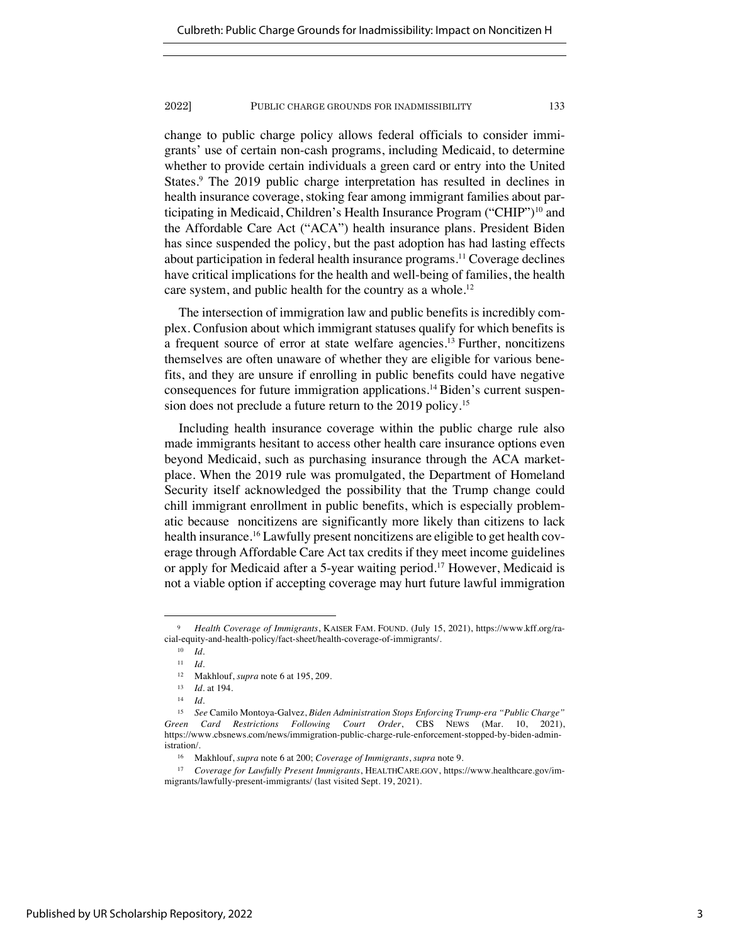change to public charge policy allows federal officials to consider immigrants' use of certain non-cash programs, including Medicaid, to determine whether to provide certain individuals a green card or entry into the United States.<sup>9</sup> The 2019 public charge interpretation has resulted in declines in health insurance coverage, stoking fear among immigrant families about participating in Medicaid, Children's Health Insurance Program ("CHIP")10 and the Affordable Care Act ("ACA") health insurance plans. President Biden has since suspended the policy, but the past adoption has had lasting effects about participation in federal health insurance programs.<sup>11</sup> Coverage declines have critical implications for the health and well-being of families, the health care system, and public health for the country as a whole.<sup>12</sup>

The intersection of immigration law and public benefits is incredibly complex. Confusion about which immigrant statuses qualify for which benefits is a frequent source of error at state welfare agencies.13 Further, noncitizens themselves are often unaware of whether they are eligible for various benefits, and they are unsure if enrolling in public benefits could have negative consequences for future immigration applications.14 Biden's current suspension does not preclude a future return to the 2019 policy.15

Including health insurance coverage within the public charge rule also made immigrants hesitant to access other health care insurance options even beyond Medicaid, such as purchasing insurance through the ACA marketplace. When the 2019 rule was promulgated, the Department of Homeland Security itself acknowledged the possibility that the Trump change could chill immigrant enrollment in public benefits, which is especially problematic because noncitizens are significantly more likely than citizens to lack health insurance.<sup>16</sup> Lawfully present noncitizens are eligible to get health coverage through Affordable Care Act tax credits if they meet income guidelines or apply for Medicaid after a 5-year waiting period.17 However, Medicaid is not a viable option if accepting coverage may hurt future lawful immigration

<sup>9</sup> *Health Coverage of Immigrants*, KAISER FAM. FOUND. (July 15, 2021), https://www.kff.org/racial-equity-and-health-policy/fact-sheet/health-coverage-of-immigrants/.

<sup>10</sup> *Id.* 

<sup>11</sup> *Id.*

<sup>12</sup> Makhlouf, *supra* note 6 at 195, 209.

<sup>13</sup> *Id.* at 194.

<sup>14</sup> *Id.* 

<sup>15</sup> *See* Camilo Montoya-Galvez, *Biden Administration Stops Enforcing Trump-era "Public Charge" Green Card Restrictions Following Court Order*, CBS NEWS (Mar. 10, 2021), https://www.cbsnews.com/news/immigration-public-charge-rule-enforcement-stopped-by-biden-administration/.

<sup>16</sup> Makhlouf, *supra* note 6 at 200; *Coverage of Immigrants*, *supra* note 9.

<sup>17</sup> *Coverage for Lawfully Present Immigrants*, HEALTHCARE.GOV, https://www.healthcare.gov/immigrants/lawfully-present-immigrants/ (last visited Sept. 19, 2021).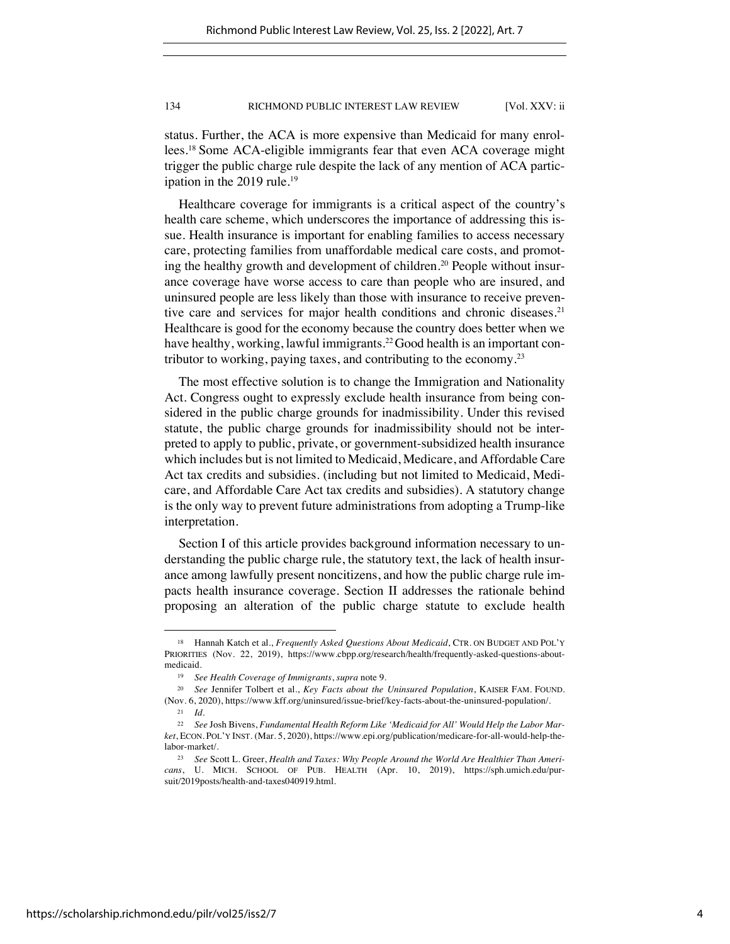status. Further, the ACA is more expensive than Medicaid for many enrollees.18 Some ACA-eligible immigrants fear that even ACA coverage might trigger the public charge rule despite the lack of any mention of ACA participation in the 2019 rule.<sup>19</sup>

Healthcare coverage for immigrants is a critical aspect of the country's health care scheme, which underscores the importance of addressing this issue. Health insurance is important for enabling families to access necessary care, protecting families from unaffordable medical care costs, and promoting the healthy growth and development of children. <sup>20</sup> People without insurance coverage have worse access to care than people who are insured, and uninsured people are less likely than those with insurance to receive preventive care and services for major health conditions and chronic diseases.<sup>21</sup> Healthcare is good for the economy because the country does better when we have healthy, working, lawful immigrants.<sup>22</sup> Good health is an important contributor to working, paying taxes, and contributing to the economy.23

The most effective solution is to change the Immigration and Nationality Act. Congress ought to expressly exclude health insurance from being considered in the public charge grounds for inadmissibility. Under this revised statute, the public charge grounds for inadmissibility should not be interpreted to apply to public, private, or government-subsidized health insurance which includes but is not limited to Medicaid, Medicare, and Affordable Care Act tax credits and subsidies. (including but not limited to Medicaid, Medicare, and Affordable Care Act tax credits and subsidies). A statutory change is the only way to prevent future administrations from adopting a Trump-like interpretation.

Section I of this article provides background information necessary to understanding the public charge rule, the statutory text, the lack of health insurance among lawfully present noncitizens, and how the public charge rule impacts health insurance coverage. Section II addresses the rationale behind proposing an alteration of the public charge statute to exclude health

<sup>18</sup> Hannah Katch et al., *Frequently Asked Questions About Medicaid*, CTR. ON BUDGET AND POL'Y PRIORITIES (Nov. 22, 2019), https://www.cbpp.org/research/health/frequently-asked-questions-aboutmedicaid.

<sup>19</sup> *See Health Coverage of Immigrants*, *supra* note 9.

<sup>20</sup> *See* Jennifer Tolbert et al., *Key Facts about the Uninsured Population*, KAISER FAM. FOUND. (Nov. 6, 2020), https://www.kff.org/uninsured/issue-brief/key-facts-about-the-uninsured-population/.

<sup>21</sup> *Id.*

<sup>22</sup> *See* Josh Bivens, *Fundamental Health Reform Like 'Medicaid for All' Would Help the Labor Market*, ECON. POL'Y INST. (Mar. 5, 2020), https://www.epi.org/publication/medicare-for-all-would-help-thelabor-market/.

<sup>23</sup> *See* Scott L. Greer, *Health and Taxes: Why People Around the World Are Healthier Than Americans*, U. MICH. SCHOOL OF PUB. HEALTH (Apr. 10, 2019), https://sph.umich.edu/pursuit/2019posts/health-and-taxes040919.html.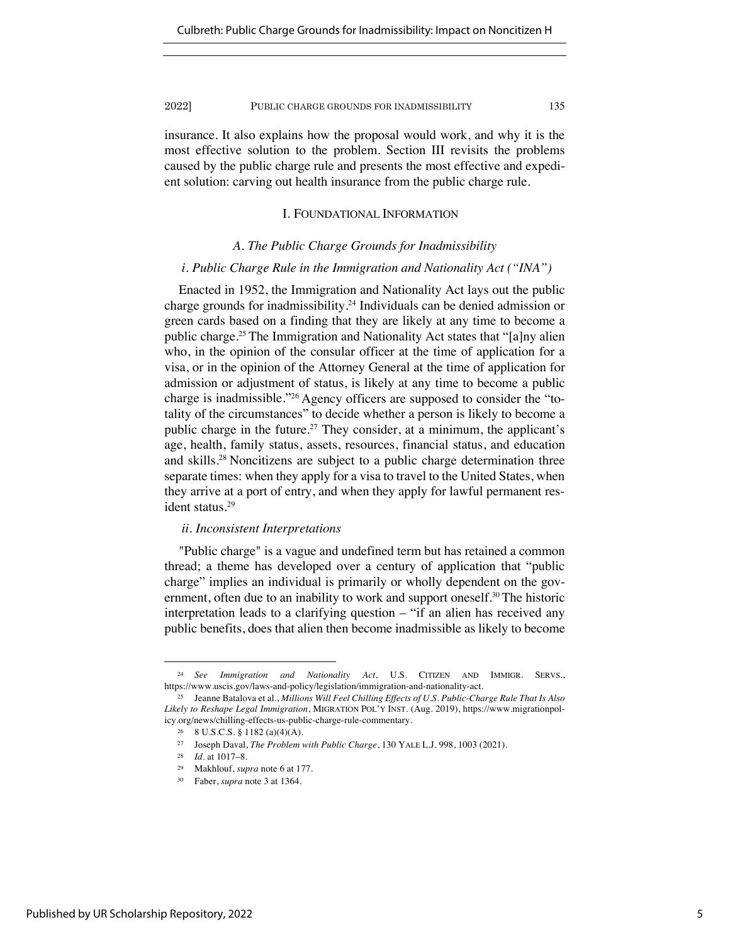insurance. It also explains how the proposal would work, and why it is the most effective solution to the problem. Section III revisits the problems caused by the public charge rule and presents the most effective and expedient solution: carving out health insurance from the public charge rule.

## I. FOUNDATIONAL INFORMATION

## *A. The Public Charge Grounds for Inadmissibility*

## *i. Public Charge Rule in the Immigration and Nationality Act ("INA")*

Enacted in 1952, the Immigration and Nationality Act lays out the public charge grounds for inadmissibility.24 Individuals can be denied admission or green cards based on a finding that they are likely at any time to become a public charge.25 The Immigration and Nationality Act states that "[a]ny alien who, in the opinion of the consular officer at the time of application for a visa, or in the opinion of the Attorney General at the time of application for admission or adjustment of status, is likely at any time to become a public charge is inadmissible."26 Agency officers are supposed to consider the "totality of the circumstances" to decide whether a person is likely to become a public charge in the future.<sup>27</sup> They consider, at a minimum, the applicant's age, health, family status, assets, resources, financial status, and education and skills.28 Noncitizens are subject to a public charge determination three separate times: when they apply for a visa to travel to the United States, when they arrive at a port of entry, and when they apply for lawful permanent resident status.29

## *ii. Inconsistent Interpretations*

"Public charge" is a vague and undefined term but has retained a common thread; a theme has developed over a century of application that "public charge" implies an individual is primarily or wholly dependent on the government, often due to an inability to work and support oneself.<sup>30</sup> The historic interpretation leads to a clarifying question – "if an alien has received any public benefits, does that alien then become inadmissible as likely to become

<sup>24</sup> *See Immigration and Nationality Act*, U.S. CITIZEN AND IMMIGR. SERVS., https://www.uscis.gov/laws-and-policy/legislation/immigration-and-nationality-act.

<sup>25</sup> Jeanne Batalova et al., *Millions Will Feel Chilling Effects of U.S. Public-Charge Rule That Is Also Likely to Reshape Legal Immigration*, MIGRATION POL'Y INST. (Aug. 2019), https://www.migrationpolicy.org/news/chilling-effects-us-public-charge-rule-commentary.

<sup>26</sup> 8 U.S.C.S. § 1182 (a)(4)(A).

<sup>27</sup> Joseph Daval, *The Problem with Public Charge*, 130 YALE L.J. 998, 1003 (2021).

<sup>28</sup> *Id.* at 1017–8.

<sup>29</sup> Makhlouf, *supra* note 6 at 177.

Faber, *supra* note 3 at 1364.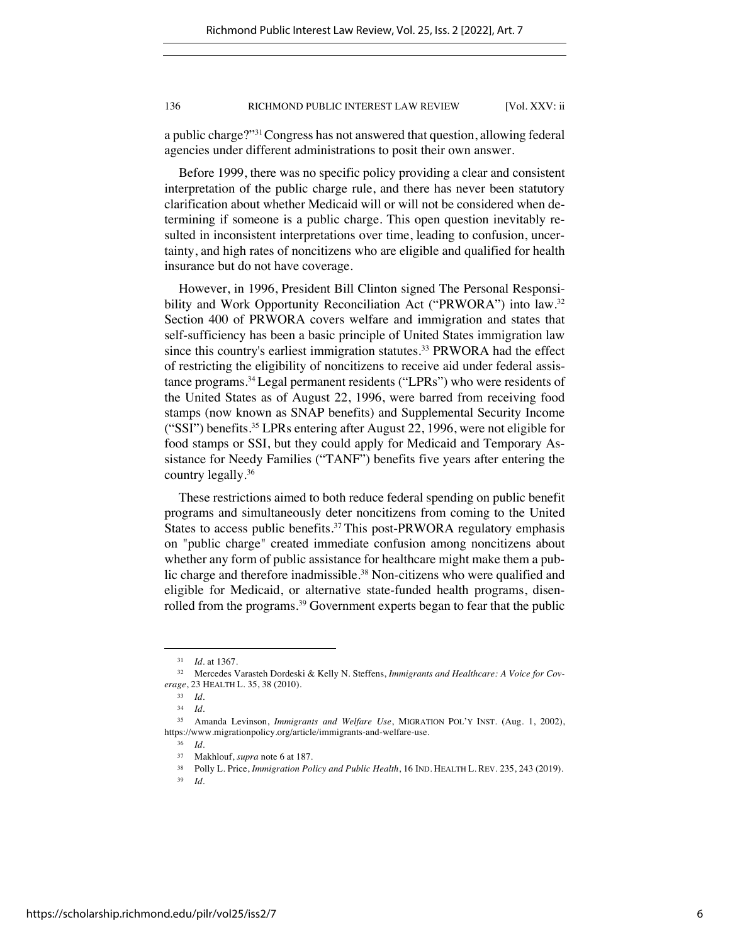a public charge?"31Congress has not answered that question, allowing federal agencies under different administrations to posit their own answer.

Before 1999, there was no specific policy providing a clear and consistent interpretation of the public charge rule, and there has never been statutory clarification about whether Medicaid will or will not be considered when determining if someone is a public charge. This open question inevitably resulted in inconsistent interpretations over time, leading to confusion, uncertainty, and high rates of noncitizens who are eligible and qualified for health insurance but do not have coverage.

However, in 1996, President Bill Clinton signed The Personal Responsibility and Work Opportunity Reconciliation Act ("PRWORA") into law.<sup>32</sup> Section 400 of PRWORA covers welfare and immigration and states that self-sufficiency has been a basic principle of United States immigration law since this country's earliest immigration statutes.<sup>33</sup> PRWORA had the effect of restricting the eligibility of noncitizens to receive aid under federal assistance programs.34Legal permanent residents ("LPRs") who were residents of the United States as of August 22, 1996, were barred from receiving food stamps (now known as SNAP benefits) and Supplemental Security Income ("SSI") benefits.35 LPRs entering after August 22, 1996, were not eligible for food stamps or SSI, but they could apply for Medicaid and Temporary Assistance for Needy Families ("TANF") benefits five years after entering the country legally.36

These restrictions aimed to both reduce federal spending on public benefit programs and simultaneously deter noncitizens from coming to the United States to access public benefits.<sup>37</sup> This post-PRWORA regulatory emphasis on "public charge" created immediate confusion among noncitizens about whether any form of public assistance for healthcare might make them a public charge and therefore inadmissible.<sup>38</sup> Non-citizens who were qualified and eligible for Medicaid, or alternative state-funded health programs, disenrolled from the programs.<sup>39</sup> Government experts began to fear that the public

*Id.* at 1367.

<sup>32</sup> Mercedes Varasteh Dordeski & Kelly N. Steffens, *Immigrants and Healthcare: A Voice for Coverage*, 23 HEALTH L. 35, 38 (2010).

<sup>33</sup> *Id.*

<sup>34</sup> *Id.* 

<sup>35</sup> Amanda Levinson, *Immigrants and Welfare Use*, MIGRATION POL'Y INST. (Aug. 1, 2002), https://www.migrationpolicy.org/article/immigrants-and-welfare-use.

<sup>36</sup> *Id.*

<sup>37</sup> Makhlouf, *supra* note 6 at 187.

<sup>38</sup> Polly L. Price, *Immigration Policy and Public Health*, 16 IND. HEALTH L. REV. 235, 243 (2019).

<sup>39</sup> *Id.*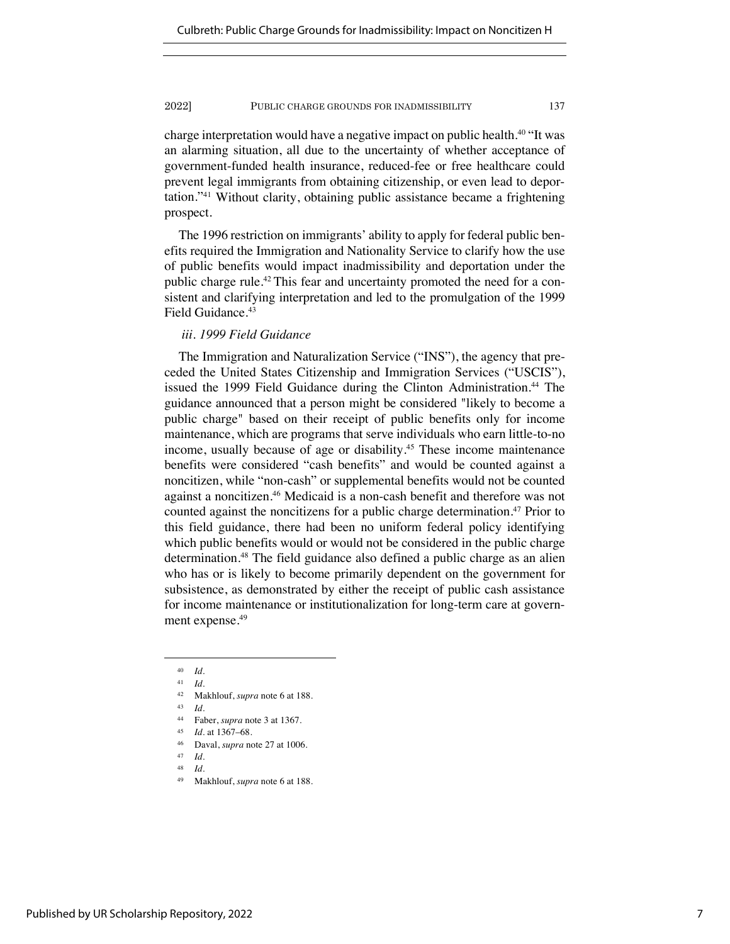charge interpretation would have a negative impact on public health.<sup>40</sup> "It was an alarming situation, all due to the uncertainty of whether acceptance of government-funded health insurance, reduced-fee or free healthcare could prevent legal immigrants from obtaining citizenship, or even lead to deportation."41 Without clarity, obtaining public assistance became a frightening prospect.

The 1996 restriction on immigrants' ability to apply for federal public benefits required the Immigration and Nationality Service to clarify how the use of public benefits would impact inadmissibility and deportation under the public charge rule.42 This fear and uncertainty promoted the need for a consistent and clarifying interpretation and led to the promulgation of the 1999 Field Guidance.<sup>43</sup>

## *iii. 1999 Field Guidance*

The Immigration and Naturalization Service ("INS"), the agency that preceded the United States Citizenship and Immigration Services ("USCIS"), issued the 1999 Field Guidance during the Clinton Administration.<sup>44</sup> The guidance announced that a person might be considered "likely to become a public charge" based on their receipt of public benefits only for income maintenance, which are programs that serve individuals who earn little-to-no income, usually because of age or disability.<sup>45</sup> These income maintenance benefits were considered "cash benefits" and would be counted against a noncitizen, while "non-cash" or supplemental benefits would not be counted against a noncitizen.46 Medicaid is a non-cash benefit and therefore was not counted against the noncitizens for a public charge determination.<sup>47</sup> Prior to this field guidance, there had been no uniform federal policy identifying which public benefits would or would not be considered in the public charge determination.48 The field guidance also defined a public charge as an alien who has or is likely to become primarily dependent on the government for subsistence, as demonstrated by either the receipt of public cash assistance for income maintenance or institutionalization for long-term care at government expense.<sup>49</sup>

<sup>40</sup> *Id.*

<sup>41</sup> *Id.* 

<sup>42</sup> Makhlouf, *supra* note 6 at 188.

<sup>43</sup> *Id.*

<sup>44</sup> Faber, *supra* note 3 at 1367.

<sup>45</sup> *Id.* at 1367–68.

<sup>46</sup> Daval, *supra* note 27 at 1006.

<sup>47</sup> *Id.* 

*Id.* 

Makhlouf, *supra* note 6 at 188.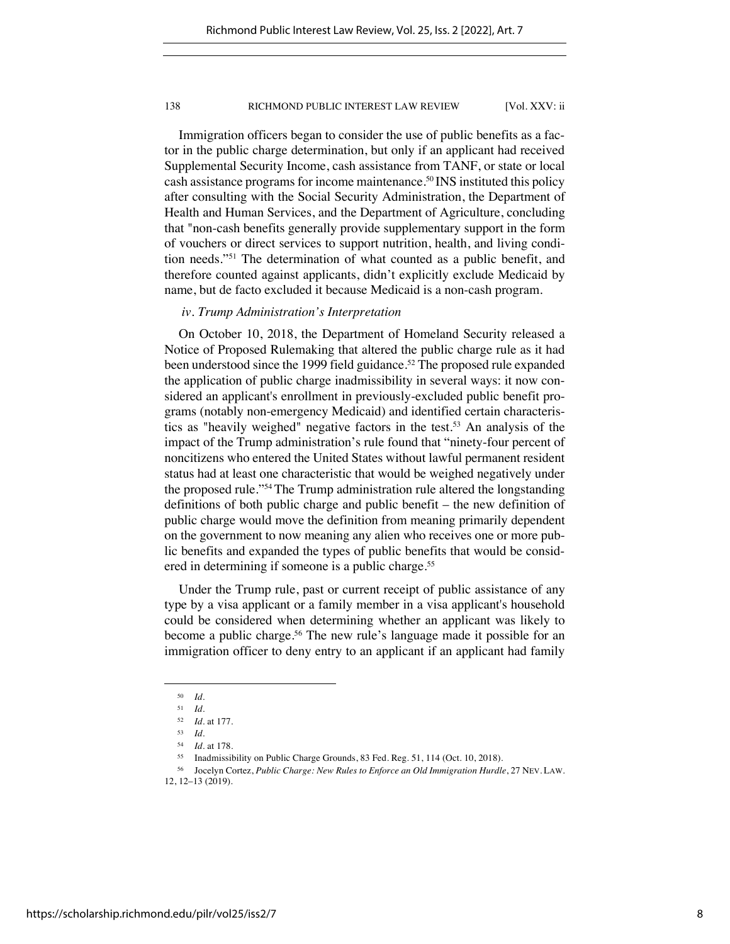Immigration officers began to consider the use of public benefits as a factor in the public charge determination, but only if an applicant had received Supplemental Security Income, cash assistance from TANF, or state or local cash assistance programs for income maintenance.50 INS instituted this policy after consulting with the Social Security Administration, the Department of Health and Human Services, and the Department of Agriculture, concluding that "non-cash benefits generally provide supplementary support in the form of vouchers or direct services to support nutrition, health, and living condition needs."51 The determination of what counted as a public benefit, and therefore counted against applicants, didn't explicitly exclude Medicaid by name, but de facto excluded it because Medicaid is a non-cash program.

## *iv. Trump Administration's Interpretation*

On October 10, 2018, the Department of Homeland Security released a Notice of Proposed Rulemaking that altered the public charge rule as it had been understood since the 1999 field guidance.<sup>52</sup> The proposed rule expanded the application of public charge inadmissibility in several ways: it now considered an applicant's enrollment in previously-excluded public benefit programs (notably non-emergency Medicaid) and identified certain characteristics as "heavily weighed" negative factors in the test.53 An analysis of the impact of the Trump administration's rule found that "ninety-four percent of noncitizens who entered the United States without lawful permanent resident status had at least one characteristic that would be weighed negatively under the proposed rule."54 The Trump administration rule altered the longstanding definitions of both public charge and public benefit – the new definition of public charge would move the definition from meaning primarily dependent on the government to now meaning any alien who receives one or more public benefits and expanded the types of public benefits that would be considered in determining if someone is a public charge.<sup>55</sup>

Under the Trump rule, past or current receipt of public assistance of any type by a visa applicant or a family member in a visa applicant's household could be considered when determining whether an applicant was likely to become a public charge.<sup>56</sup> The new rule's language made it possible for an immigration officer to deny entry to an applicant if an applicant had family

<sup>50</sup> *Id.*

<sup>51</sup> *Id.* 

<sup>52</sup> *Id.* at 177.

<sup>53</sup> *Id.*

<sup>54</sup> *Id.* at 178.

<sup>55</sup> Inadmissibility on Public Charge Grounds, 83 Fed. Reg. 51, 114 (Oct. 10, 2018).

<sup>56</sup> Jocelyn Cortez, *Public Charge: New Rules to Enforce an Old Immigration Hurdle*, 27 NEV. LAW. 12, 12–13 (2019).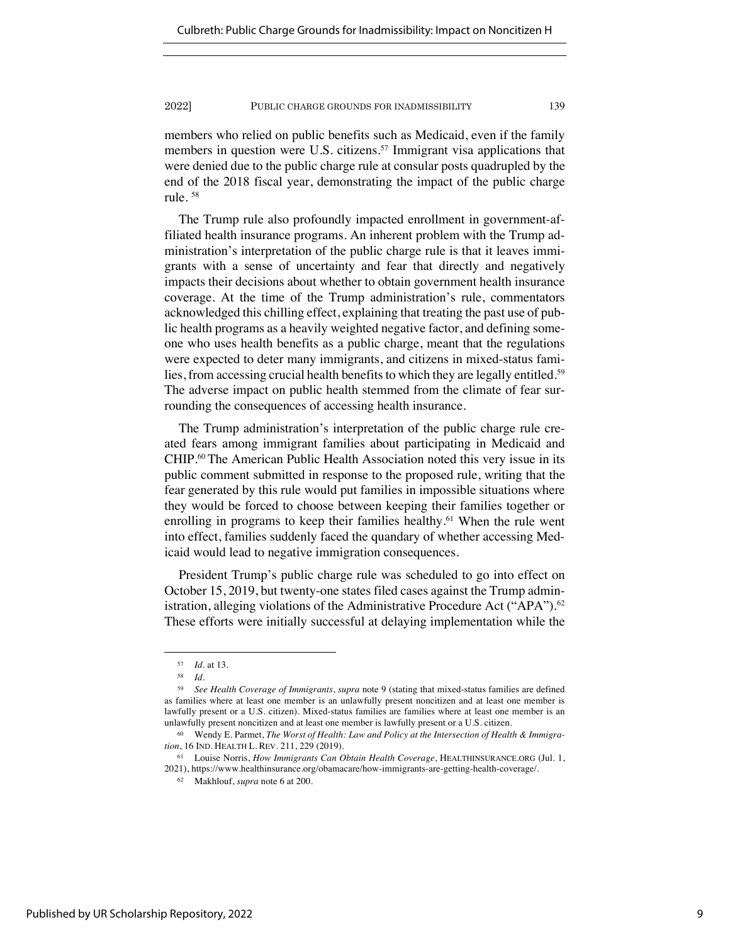members who relied on public benefits such as Medicaid, even if the family members in question were U.S. citizens.<sup>57</sup> Immigrant visa applications that were denied due to the public charge rule at consular posts quadrupled by the end of the 2018 fiscal year, demonstrating the impact of the public charge rule. <sup>58</sup>

The Trump rule also profoundly impacted enrollment in government-affiliated health insurance programs. An inherent problem with the Trump administration's interpretation of the public charge rule is that it leaves immigrants with a sense of uncertainty and fear that directly and negatively impacts their decisions about whether to obtain government health insurance coverage. At the time of the Trump administration's rule, commentators acknowledged this chilling effect, explaining that treating the past use of public health programs as a heavily weighted negative factor, and defining someone who uses health benefits as a public charge, meant that the regulations were expected to deter many immigrants, and citizens in mixed-status families, from accessing crucial health benefits to which they are legally entitled.<sup>59</sup> The adverse impact on public health stemmed from the climate of fear surrounding the consequences of accessing health insurance.

The Trump administration's interpretation of the public charge rule created fears among immigrant families about participating in Medicaid and CHIP.60 The American Public Health Association noted this very issue in its public comment submitted in response to the proposed rule, writing that the fear generated by this rule would put families in impossible situations where they would be forced to choose between keeping their families together or enrolling in programs to keep their families healthy.<sup>61</sup> When the rule went into effect, families suddenly faced the quandary of whether accessing Medicaid would lead to negative immigration consequences.

President Trump's public charge rule was scheduled to go into effect on October 15, 2019, but twenty-one states filed cases against the Trump administration, alleging violations of the Administrative Procedure Act ("APA").<sup>62</sup> These efforts were initially successful at delaying implementation while the

<sup>57</sup> *Id.* at 13.

<sup>58</sup> *Id.* 

<sup>59</sup> *See Health Coverage of Immigrants*, *supra* note 9 (stating that mixed-status families are defined as families where at least one member is an unlawfully present noncitizen and at least one member is lawfully present or a U.S. citizen). Mixed-status families are families where at least one member is an unlawfully present noncitizen and at least one member is lawfully present or a U.S. citizen.

<sup>60</sup> Wendy E. Parmet, *The Worst of Health: Law and Policy at the Intersection of Health & Immigration*, 16 IND. HEALTH L. REV. 211, 229 (2019).

<sup>61</sup> Louise Norris, *How Immigrants Can Obtain Health Coverage*, HEALTHINSURANCE.ORG (Jul. 1, 2021), https://www.healthinsurance.org/obamacare/how-immigrants-are-getting-health-coverage/.

<sup>62</sup> Makhlouf, *supra* note 6 at 200.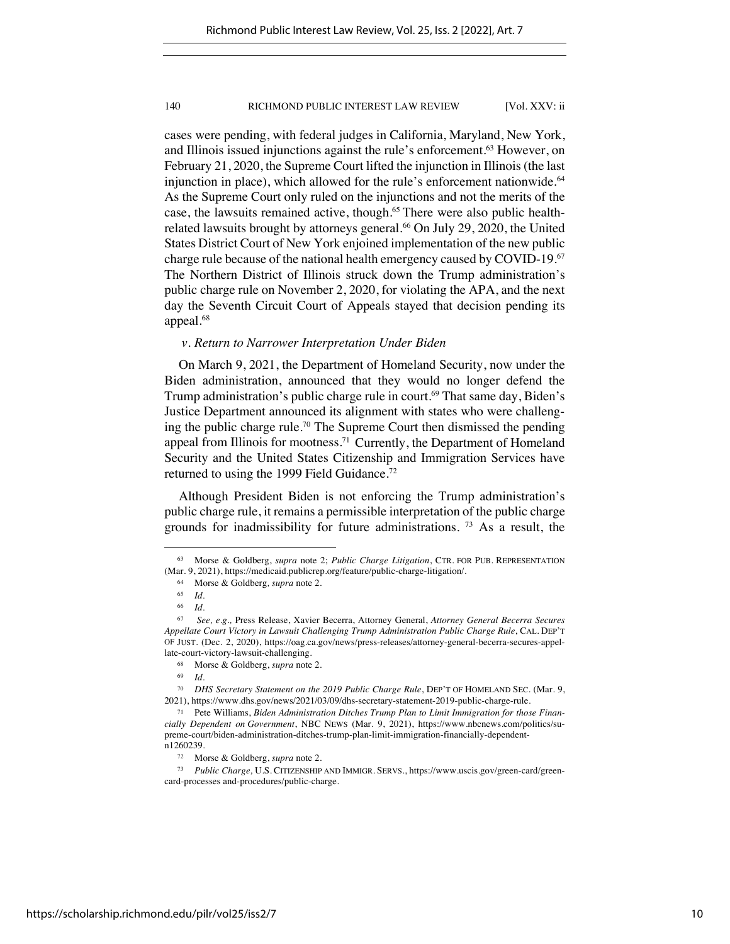cases were pending, with federal judges in California, Maryland, New York, and Illinois issued injunctions against the rule's enforcement.63 However, on February 21, 2020, the Supreme Court lifted the injunction in Illinois (the last injunction in place), which allowed for the rule's enforcement nationwide.<sup>64</sup> As the Supreme Court only ruled on the injunctions and not the merits of the case, the lawsuits remained active, though.65 There were also public healthrelated lawsuits brought by attorneys general.<sup>66</sup> On July 29, 2020, the United States District Court of New York enjoined implementation of the new public charge rule because of the national health emergency caused by COVID-19.67 The Northern District of Illinois struck down the Trump administration's public charge rule on November 2, 2020, for violating the APA, and the next day the Seventh Circuit Court of Appeals stayed that decision pending its appeal.<sup>68</sup>

### *v. Return to Narrower Interpretation Under Biden*

On March 9, 2021, the Department of Homeland Security, now under the Biden administration, announced that they would no longer defend the Trump administration's public charge rule in court.<sup>69</sup> That same day, Biden's Justice Department announced its alignment with states who were challenging the public charge rule.70 The Supreme Court then dismissed the pending appeal from Illinois for mootness.<sup>71</sup> Currently, the Department of Homeland Security and the United States Citizenship and Immigration Services have returned to using the 1999 Field Guidance.72

Although President Biden is not enforcing the Trump administration's public charge rule, it remains a permissible interpretation of the public charge grounds for inadmissibility for future administrations. <sup>73</sup> As a result, the

<sup>63</sup> Morse & Goldberg, *supra* note 2; *Public Charge Litigation*, CTR. FOR PUB. REPRESENTATION (Mar. 9, 2021), https://medicaid.publicrep.org/feature/public-charge-litigation/.

<sup>64</sup> Morse & Goldberg*, supra* note 2.

<sup>65</sup> *Id.* 

<sup>66</sup> *Id.*

<sup>67</sup> *See, e.g.,* Press Release, Xavier Becerra, Attorney General, *Attorney General Becerra Secures Appellate Court Victory in Lawsuit Challenging Trump Administration Public Charge Rule*, CAL. DEP'T OF JUST. (Dec. 2, 2020), https://oag.ca.gov/news/press-releases/attorney-general-becerra-secures-appellate-court-victory-lawsuit-challenging.

<sup>68</sup> Morse & Goldberg, *supra* note 2.

<sup>69</sup> *Id.* 

<sup>70</sup> *DHS Secretary Statement on the 2019 Public Charge Rule*, DEP'T OF HOMELAND SEC. (Mar. 9, 2021), https://www.dhs.gov/news/2021/03/09/dhs-secretary-statement-2019-public-charge-rule.

<sup>71</sup> Pete Williams, *Biden Administration Ditches Trump Plan to Limit Immigration for those Financially Dependent on Government*, NBC NEWS (Mar. 9, 2021), https://www.nbcnews.com/politics/supreme-court/biden-administration-ditches-trump-plan-limit-immigration-financially-dependentn1260239.

<sup>72</sup> Morse & Goldberg, *supra* note 2.

<sup>73</sup> *Public Charge,* U.S. CITIZENSHIP AND IMMIGR. SERVS., https://www.uscis.gov/green-card/greencard-processes and-procedures/public-charge.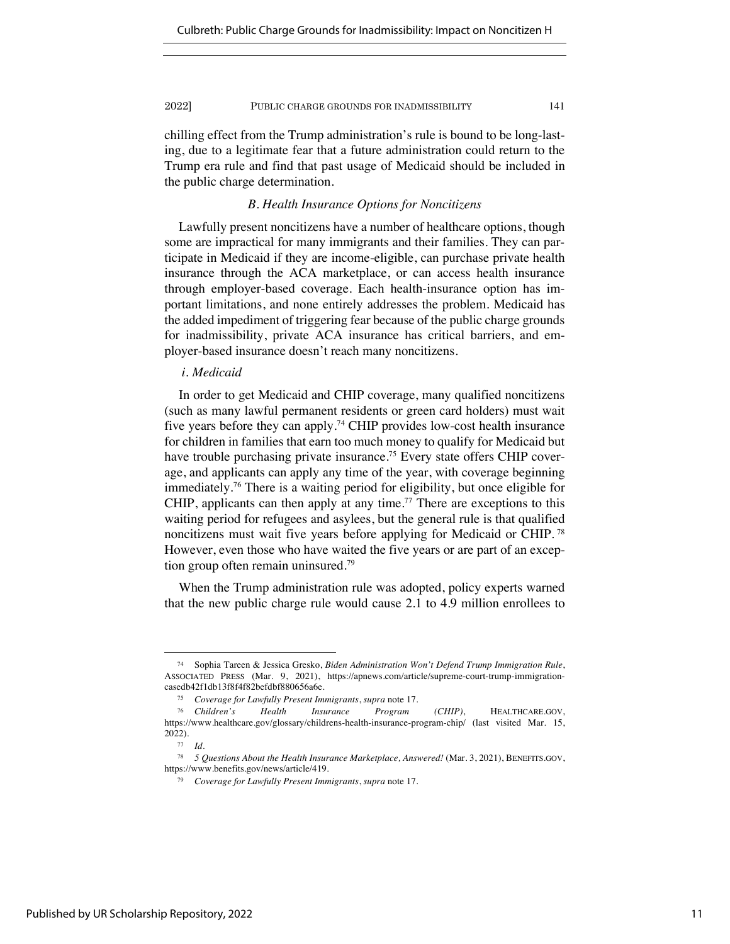chilling effect from the Trump administration's rule is bound to be long-lasting, due to a legitimate fear that a future administration could return to the Trump era rule and find that past usage of Medicaid should be included in the public charge determination.

## *B. Health Insurance Options for Noncitizens*

Lawfully present noncitizens have a number of healthcare options, though some are impractical for many immigrants and their families. They can participate in Medicaid if they are income-eligible, can purchase private health insurance through the ACA marketplace, or can access health insurance through employer-based coverage. Each health-insurance option has important limitations, and none entirely addresses the problem. Medicaid has the added impediment of triggering fear because of the public charge grounds for inadmissibility, private ACA insurance has critical barriers, and employer-based insurance doesn't reach many noncitizens.

## *i. Medicaid*

In order to get Medicaid and CHIP coverage, many qualified noncitizens (such as many lawful permanent residents or green card holders) must wait five years before they can apply.74 CHIP provides low-cost health insurance for children in families that earn too much money to qualify for Medicaid but have trouble purchasing private insurance.<sup>75</sup> Every state offers CHIP coverage, and applicants can apply any time of the year, with coverage beginning immediately.76 There is a waiting period for eligibility, but once eligible for CHIP, applicants can then apply at any time.<sup>77</sup> There are exceptions to this waiting period for refugees and asylees, but the general rule is that qualified noncitizens must wait five years before applying for Medicaid or CHIP. <sup>78</sup> However, even those who have waited the five years or are part of an exception group often remain uninsured.79

When the Trump administration rule was adopted, policy experts warned that the new public charge rule would cause 2.1 to 4.9 million enrollees to

<sup>74</sup> Sophia Tareen & Jessica Gresko, *Biden Administration Won't Defend Trump Immigration Rule*, ASSOCIATED PRESS (Mar. 9, 2021), https://apnews.com/article/supreme-court-trump-immigrationcasedb42f1db13f8f4f82befdbf880656a6e.

<sup>75</sup> *Coverage for Lawfully Present Immigrants*, *supra* note 17.

<sup>76</sup> *Children's Health Insurance Program (CHIP)*, HEALTHCARE.GOV, https://www.healthcare.gov/glossary/childrens-health-insurance-program-chip/ (last visited Mar. 15, 2022).

<sup>77</sup> *Id.*

<sup>78</sup> *5 Questions About the Health Insurance Marketplace, Answered!* (Mar. 3, 2021), BENEFITS.GOV, https://www.benefits.gov/news/article/419.

<sup>79</sup> *Coverage for Lawfully Present Immigrants*, *supra* note 17.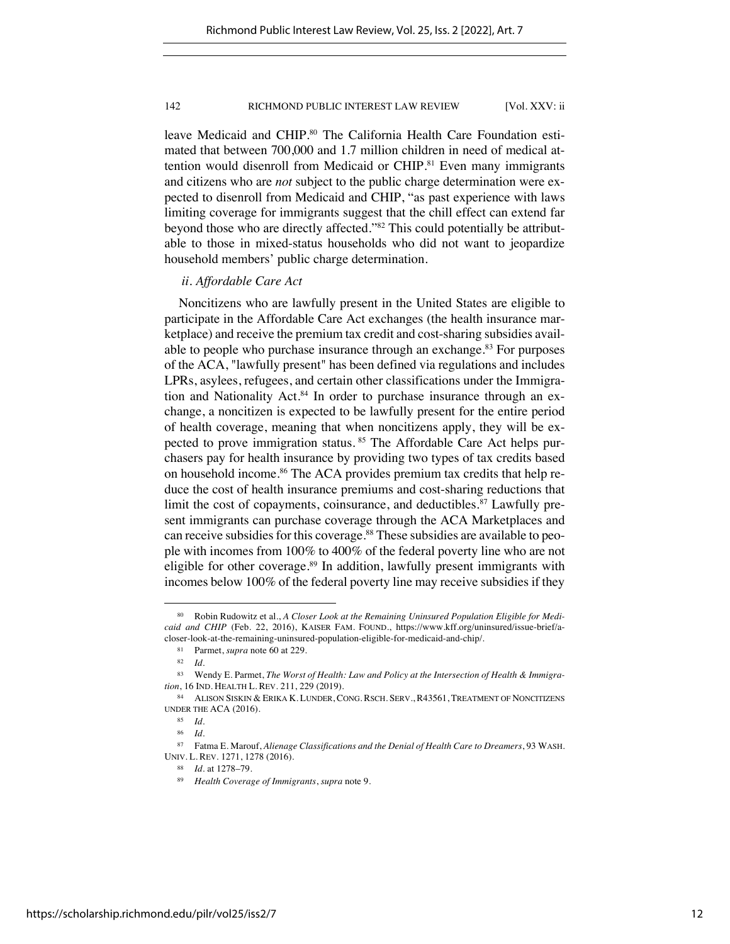leave Medicaid and CHIP.<sup>80</sup> The California Health Care Foundation estimated that between 700,000 and 1.7 million children in need of medical attention would disenroll from Medicaid or CHIP. <sup>81</sup> Even many immigrants and citizens who are *not* subject to the public charge determination were expected to disenroll from Medicaid and CHIP, "as past experience with laws limiting coverage for immigrants suggest that the chill effect can extend far beyond those who are directly affected."82 This could potentially be attributable to those in mixed-status households who did not want to jeopardize household members' public charge determination.

## *ii. Affordable Care Act*

Noncitizens who are lawfully present in the United States are eligible to participate in the Affordable Care Act exchanges (the health insurance marketplace) and receive the premium tax credit and cost-sharing subsidies available to people who purchase insurance through an exchange.<sup>83</sup> For purposes of the ACA, "lawfully present" has been defined via regulations and includes LPRs, asylees, refugees, and certain other classifications under the Immigration and Nationality Act.<sup>84</sup> In order to purchase insurance through an exchange, a noncitizen is expected to be lawfully present for the entire period of health coverage, meaning that when noncitizens apply, they will be expected to prove immigration status. <sup>85</sup> The Affordable Care Act helps purchasers pay for health insurance by providing two types of tax credits based on household income.<sup>86</sup> The ACA provides premium tax credits that help reduce the cost of health insurance premiums and cost-sharing reductions that limit the cost of copayments, coinsurance, and deductibles.<sup>87</sup> Lawfully present immigrants can purchase coverage through the ACA Marketplaces and can receive subsidies for this coverage.<sup>88</sup> These subsidies are available to people with incomes from 100% to 400% of the federal poverty line who are not eligible for other coverage.<sup>89</sup> In addition, lawfully present immigrants with incomes below 100% of the federal poverty line may receive subsidies if they

<sup>80</sup> Robin Rudowitz et al., *A Closer Look at the Remaining Uninsured Population Eligible for Medicaid and CHIP* (Feb. 22, 2016), KAISER FAM. FOUND., https://www.kff.org/uninsured/issue-brief/acloser-look-at-the-remaining-uninsured-population-eligible-for-medicaid-and-chip/.

<sup>81</sup> Parmet, *supra* note 60 at 229.

 $rac{82}{83}$  *Id.* 

Wendy E. Parmet, *The Worst of Health: Law and Policy at the Intersection of Health & Immigration*, 16 IND. HEALTH L. REV. 211, 229 (2019).

<sup>84</sup> ALISON SISKIN & ERIKA K. LUNDER, CONG. RSCH. SERV., R43561, TREATMENT OF NONCITIZENS UNDER THE ACA (2016).

<sup>85</sup> *Id.*

<sup>86</sup> *Id.*

<sup>87</sup> Fatma E. Marouf, *Alienage Classifications and the Denial of Health Care to Dreamers*, 93 WASH. UNIV. L. REV. 1271, 1278 (2016).

<sup>88</sup> *Id.* at 1278–79.

<sup>89</sup> *Health Coverage of Immigrants*, *supra* note 9.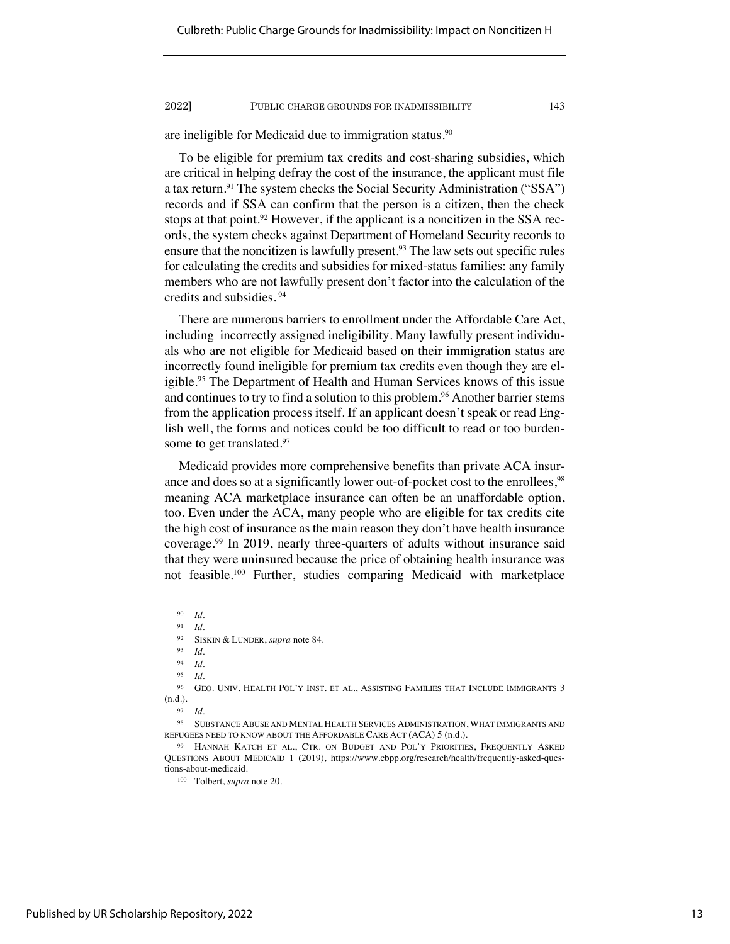are ineligible for Medicaid due to immigration status.<sup>90</sup>

To be eligible for premium tax credits and cost-sharing subsidies, which are critical in helping defray the cost of the insurance, the applicant must file a tax return.91 The system checks the Social Security Administration ("SSA") records and if SSA can confirm that the person is a citizen, then the check stops at that point.<sup>92</sup> However, if the applicant is a noncitizen in the SSA records, the system checks against Department of Homeland Security records to ensure that the noncitizen is lawfully present.<sup>93</sup> The law sets out specific rules for calculating the credits and subsidies for mixed-status families: any family members who are not lawfully present don't factor into the calculation of the credits and subsidies. <sup>94</sup>

There are numerous barriers to enrollment under the Affordable Care Act, including incorrectly assigned ineligibility. Many lawfully present individuals who are not eligible for Medicaid based on their immigration status are incorrectly found ineligible for premium tax credits even though they are eligible.<sup>95</sup> The Department of Health and Human Services knows of this issue and continues to try to find a solution to this problem.<sup>96</sup> Another barrier stems from the application process itself. If an applicant doesn't speak or read English well, the forms and notices could be too difficult to read or too burdensome to get translated.<sup>97</sup>

Medicaid provides more comprehensive benefits than private ACA insurance and does so at a significantly lower out-of-pocket cost to the enrollees,<sup>98</sup> meaning ACA marketplace insurance can often be an unaffordable option, too. Even under the ACA, many people who are eligible for tax credits cite the high cost of insurance as the main reason they don't have health insurance coverage.99 In 2019, nearly three-quarters of adults without insurance said that they were uninsured because the price of obtaining health insurance was not feasible.100 Further, studies comparing Medicaid with marketplace

<sup>90</sup> *Id.* 

<sup>91</sup> *Id.* 

<sup>92</sup> SISKIN & LUNDER, *supra* note 84.

<sup>93</sup> *Id.*

<sup>94</sup> *Id.*

<sup>95</sup> *Id.*

<sup>96</sup> GEO. UNIV. HEALTH POL'Y INST. ET AL., ASSISTING FAMILIES THAT INCLUDE IMMIGRANTS 3 (n.d.).

<sup>97</sup> *Id.*

<sup>98</sup> SUBSTANCE ABUSE AND MENTAL HEALTH SERVICES ADMINISTRATION, WHAT IMMIGRANTS AND REFUGEES NEED TO KNOW ABOUT THE AFFORDABLE CARE ACT (ACA) 5 (n.d.).

<sup>99</sup> HANNAH KATCH ET AL., CTR. ON BUDGET AND POL'Y PRIORITIES, FREQUENTLY ASKED QUESTIONS ABOUT MEDICAID 1 (2019), https://www.cbpp.org/research/health/frequently-asked-questions-about-medicaid.

<sup>100</sup> Tolbert, *supra* note 20.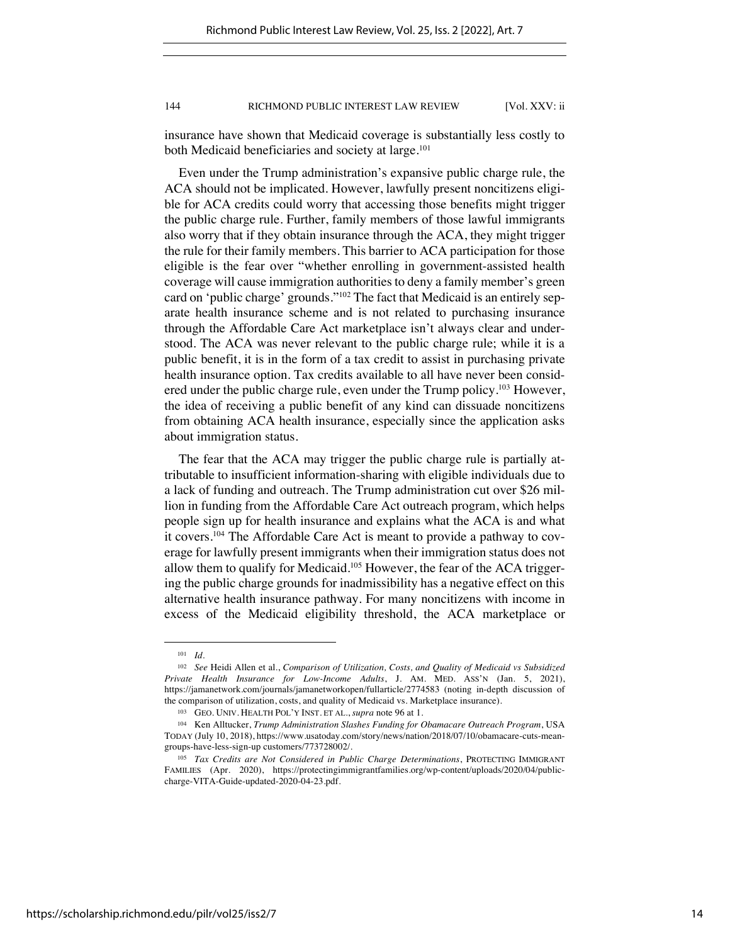insurance have shown that Medicaid coverage is substantially less costly to both Medicaid beneficiaries and society at large.<sup>101</sup>

Even under the Trump administration's expansive public charge rule, the ACA should not be implicated. However, lawfully present noncitizens eligible for ACA credits could worry that accessing those benefits might trigger the public charge rule. Further, family members of those lawful immigrants also worry that if they obtain insurance through the ACA, they might trigger the rule for their family members. This barrier to ACA participation for those eligible is the fear over "whether enrolling in government-assisted health coverage will cause immigration authorities to deny a family member's green card on 'public charge' grounds."102 The fact that Medicaid is an entirely separate health insurance scheme and is not related to purchasing insurance through the Affordable Care Act marketplace isn't always clear and understood. The ACA was never relevant to the public charge rule; while it is a public benefit, it is in the form of a tax credit to assist in purchasing private health insurance option. Tax credits available to all have never been considered under the public charge rule, even under the Trump policy.<sup>103</sup> However, the idea of receiving a public benefit of any kind can dissuade noncitizens from obtaining ACA health insurance, especially since the application asks about immigration status.

The fear that the ACA may trigger the public charge rule is partially attributable to insufficient information-sharing with eligible individuals due to a lack of funding and outreach. The Trump administration cut over \$26 million in funding from the Affordable Care Act outreach program, which helps people sign up for health insurance and explains what the ACA is and what it covers.104 The Affordable Care Act is meant to provide a pathway to coverage for lawfully present immigrants when their immigration status does not allow them to qualify for Medicaid.<sup>105</sup> However, the fear of the ACA triggering the public charge grounds for inadmissibility has a negative effect on this alternative health insurance pathway. For many noncitizens with income in excess of the Medicaid eligibility threshold, the ACA marketplace or

<sup>101</sup> *Id.*

<sup>102</sup> *See* Heidi Allen et al., *Comparison of Utilization, Costs, and Quality of Medicaid vs Subsidized Private Health Insurance for Low-Income Adults*, J. AM. MED. ASS'N (Jan. 5, 2021), https://jamanetwork.com/journals/jamanetworkopen/fullarticle/2774583 (noting in-depth discussion of the comparison of utilization, costs, and quality of Medicaid vs. Marketplace insurance).

<sup>103</sup> GEO. UNIV. HEALTH POL'Y INST. ET AL., *supra* note 96 at 1.

<sup>104</sup> Ken Alltucker, *Trump Administration Slashes Funding for Obamacare Outreach Program*, USA TODAY (July 10, 2018), https://www.usatoday.com/story/news/nation/2018/07/10/obamacare-cuts-meangroups-have-less-sign-up customers/773728002/.

<sup>105</sup> *Tax Credits are Not Considered in Public Charge Determinations*, PROTECTING IMMIGRANT FAMILIES (Apr. 2020), https://protectingimmigrantfamilies.org/wp-content/uploads/2020/04/publiccharge-VITA-Guide-updated-2020-04-23.pdf.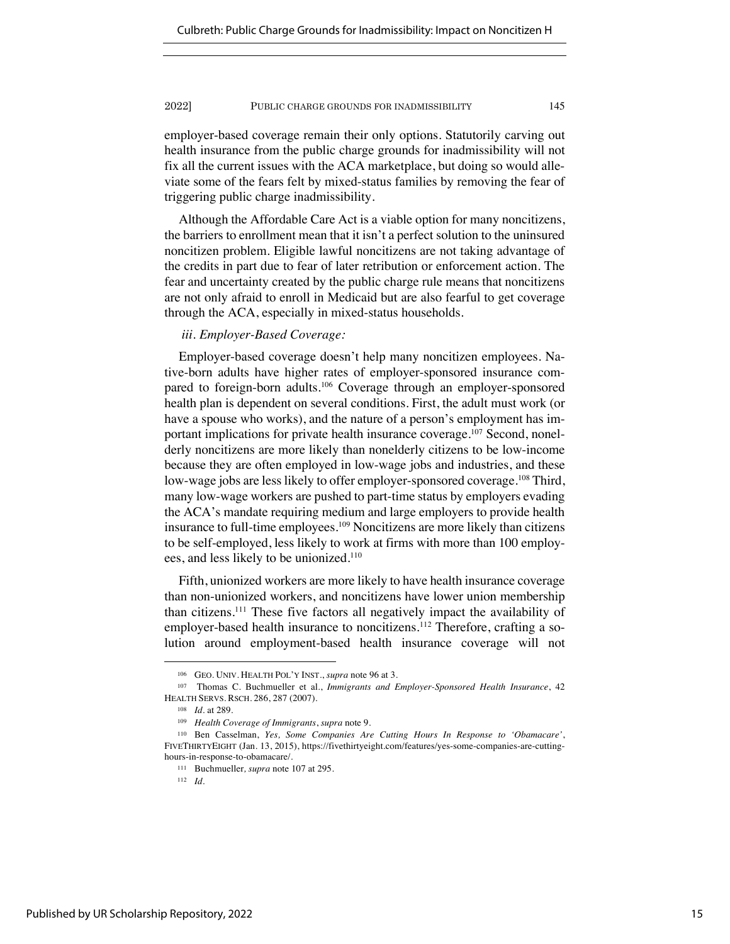employer-based coverage remain their only options. Statutorily carving out health insurance from the public charge grounds for inadmissibility will not fix all the current issues with the ACA marketplace, but doing so would alleviate some of the fears felt by mixed-status families by removing the fear of triggering public charge inadmissibility.

Although the Affordable Care Act is a viable option for many noncitizens, the barriers to enrollment mean that it isn't a perfect solution to the uninsured noncitizen problem. Eligible lawful noncitizens are not taking advantage of the credits in part due to fear of later retribution or enforcement action. The fear and uncertainty created by the public charge rule means that noncitizens are not only afraid to enroll in Medicaid but are also fearful to get coverage through the ACA, especially in mixed-status households.

## *iii. Employer-Based Coverage:*

Employer-based coverage doesn't help many noncitizen employees. Native-born adults have higher rates of employer-sponsored insurance compared to foreign-born adults.<sup>106</sup> Coverage through an employer-sponsored health plan is dependent on several conditions. First, the adult must work (or have a spouse who works), and the nature of a person's employment has important implications for private health insurance coverage.107 Second, nonelderly noncitizens are more likely than nonelderly citizens to be low-income because they are often employed in low-wage jobs and industries, and these low-wage jobs are less likely to offer employer-sponsored coverage.<sup>108</sup> Third, many low-wage workers are pushed to part-time status by employers evading the ACA's mandate requiring medium and large employers to provide health insurance to full-time employees.109 Noncitizens are more likely than citizens to be self-employed, less likely to work at firms with more than 100 employees, and less likely to be unionized.110

Fifth, unionized workers are more likely to have health insurance coverage than non-unionized workers, and noncitizens have lower union membership than citizens.111 These five factors all negatively impact the availability of employer-based health insurance to noncitizens.<sup>112</sup> Therefore, crafting a solution around employment-based health insurance coverage will not

<sup>106</sup> GEO. UNIV. HEALTH POL'Y INST., *supra* note 96 at 3.

<sup>107</sup> Thomas C. Buchmueller et al., *Immigrants and Employer-Sponsored Health Insurance*, 42 HEALTH SERVS. RSCH. 286, 287 (2007).

<sup>108</sup> *Id.* at 289.

<sup>109</sup> *Health Coverage of Immigrants*, *supra* note 9.

<sup>110</sup> Ben Casselman, *Yes, Some Companies Are Cutting Hours In Response to 'Obamacare'*, FIVETHIRTYEIGHT (Jan. 13, 2015), https://fivethirtyeight.com/features/yes-some-companies-are-cuttinghours-in-response-to-obamacare/.

<sup>111</sup> Buchmueller*, supra* note 107 at 295.

<sup>112</sup> *Id.*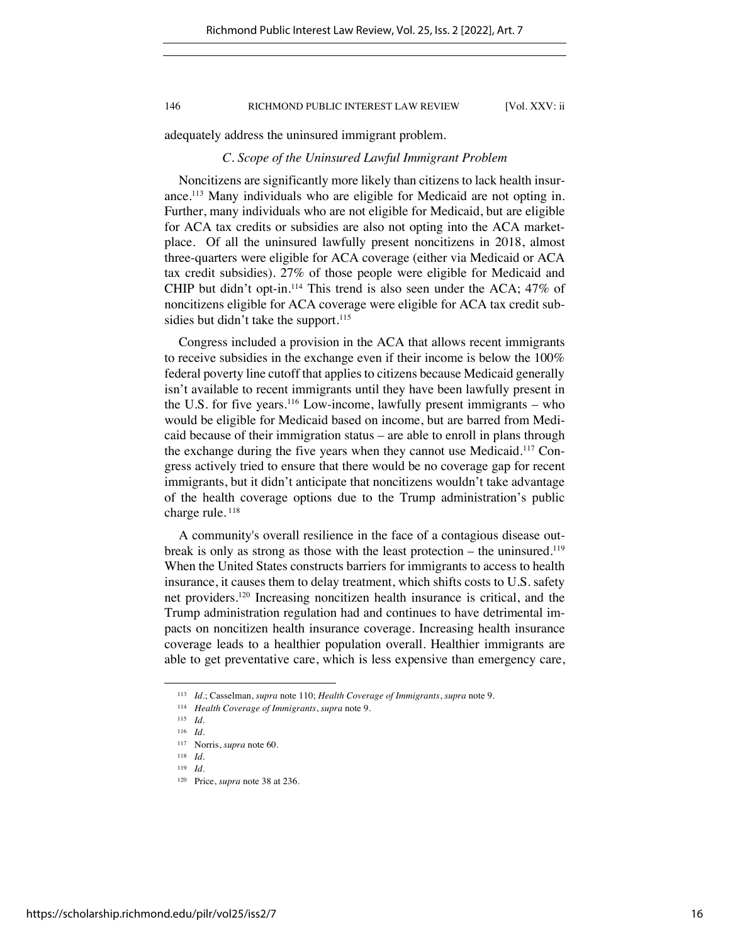adequately address the uninsured immigrant problem.

## *C. Scope of the Uninsured Lawful Immigrant Problem*

Noncitizens are significantly more likely than citizens to lack health insurance.113 Many individuals who are eligible for Medicaid are not opting in. Further, many individuals who are not eligible for Medicaid, but are eligible for ACA tax credits or subsidies are also not opting into the ACA marketplace. Of all the uninsured lawfully present noncitizens in 2018, almost three-quarters were eligible for ACA coverage (either via Medicaid or ACA tax credit subsidies). 27% of those people were eligible for Medicaid and CHIP but didn't opt-in.114 This trend is also seen under the ACA; 47% of noncitizens eligible for ACA coverage were eligible for ACA tax credit subsidies but didn't take the support.<sup>115</sup>

Congress included a provision in the ACA that allows recent immigrants to receive subsidies in the exchange even if their income is below the 100% federal poverty line cutoff that applies to citizens because Medicaid generally isn't available to recent immigrants until they have been lawfully present in the U.S. for five years.<sup>116</sup> Low-income, lawfully present immigrants – who would be eligible for Medicaid based on income, but are barred from Medicaid because of their immigration status – are able to enroll in plans through the exchange during the five years when they cannot use Medicaid.117 Congress actively tried to ensure that there would be no coverage gap for recent immigrants, but it didn't anticipate that noncitizens wouldn't take advantage of the health coverage options due to the Trump administration's public charge rule.<sup>118</sup>

A community's overall resilience in the face of a contagious disease outbreak is only as strong as those with the least protection – the uninsured.<sup>119</sup> When the United States constructs barriers for immigrants to access to health insurance, it causes them to delay treatment, which shifts costs to U.S. safety net providers.120 Increasing noncitizen health insurance is critical, and the Trump administration regulation had and continues to have detrimental impacts on noncitizen health insurance coverage. Increasing health insurance coverage leads to a healthier population overall. Healthier immigrants are able to get preventative care, which is less expensive than emergency care,

<sup>113</sup> *Id.*; Casselman, *supra* note 110; *Health Coverage of Immigrants*, *supra* note 9.

<sup>114</sup> *Health Coverage of Immigrants*, *supra* note 9.

<sup>115</sup> *Id.*

<sup>116</sup> *Id.*

<sup>117</sup> Norris, *supra* note 60.

<sup>118</sup> *Id.*

<sup>119</sup> *Id.*

<sup>120</sup> Price, *supra* note 38 at 236.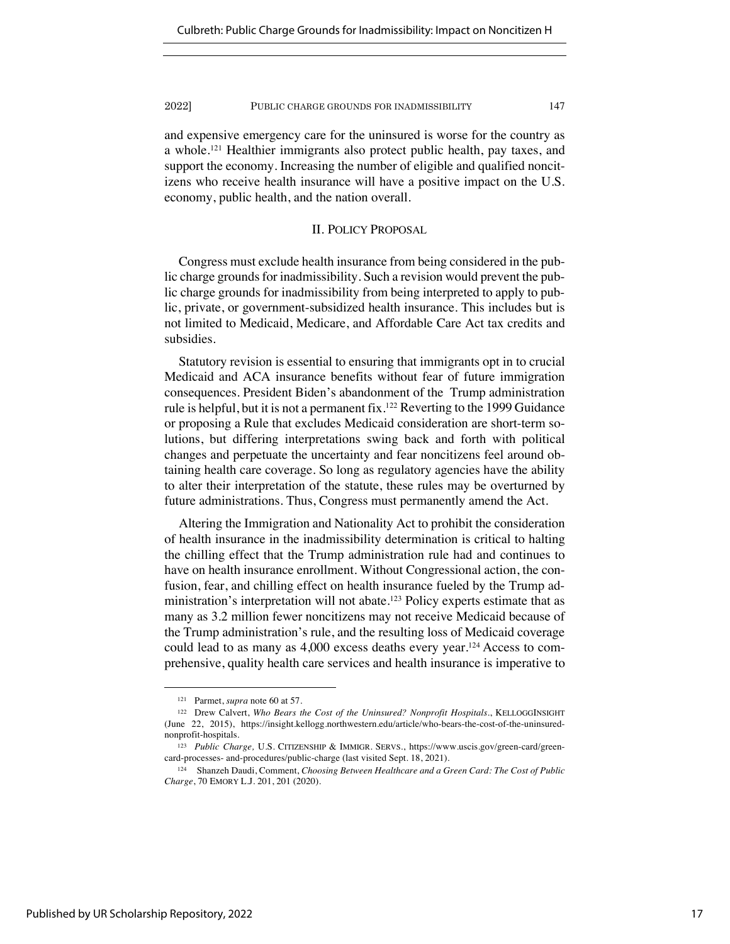and expensive emergency care for the uninsured is worse for the country as a whole.121 Healthier immigrants also protect public health, pay taxes, and support the economy. Increasing the number of eligible and qualified noncitizens who receive health insurance will have a positive impact on the U.S. economy, public health, and the nation overall.

## II. POLICY PROPOSAL

Congress must exclude health insurance from being considered in the public charge grounds for inadmissibility. Such a revision would prevent the public charge grounds for inadmissibility from being interpreted to apply to public, private, or government-subsidized health insurance. This includes but is not limited to Medicaid, Medicare, and Affordable Care Act tax credits and subsidies.

Statutory revision is essential to ensuring that immigrants opt in to crucial Medicaid and ACA insurance benefits without fear of future immigration consequences. President Biden's abandonment of the Trump administration rule is helpful, but it is not a permanent fix.122 Reverting to the 1999 Guidance or proposing a Rule that excludes Medicaid consideration are short-term solutions, but differing interpretations swing back and forth with political changes and perpetuate the uncertainty and fear noncitizens feel around obtaining health care coverage. So long as regulatory agencies have the ability to alter their interpretation of the statute, these rules may be overturned by future administrations. Thus, Congress must permanently amend the Act.

Altering the Immigration and Nationality Act to prohibit the consideration of health insurance in the inadmissibility determination is critical to halting the chilling effect that the Trump administration rule had and continues to have on health insurance enrollment. Without Congressional action, the confusion, fear, and chilling effect on health insurance fueled by the Trump administration's interpretation will not abate.<sup>123</sup> Policy experts estimate that as many as 3.2 million fewer noncitizens may not receive Medicaid because of the Trump administration's rule, and the resulting loss of Medicaid coverage could lead to as many as 4,000 excess deaths every year.<sup>124</sup> Access to comprehensive, quality health care services and health insurance is imperative to

<sup>121</sup> Parmet, *supra* note 60 at 57.

<sup>&</sup>lt;sup>122</sup> Drew Calvert, *Who Bears the Cost of the Uninsured? Nonprofit Hospitals.*, KELLOGGINSIGHT (June 22, 2015), https://insight.kellogg.northwestern.edu/article/who-bears-the-cost-of-the-uninsurednonprofit-hospitals.

<sup>123</sup> *Public Charge,* U.S. CITIZENSHIP & IMMIGR. SERVS., https://www.uscis.gov/green-card/greencard-processes- and-procedures/public-charge (last visited Sept. 18, 2021).

<sup>124</sup> Shanzeh Daudi, Comment, *Choosing Between Healthcare and a Green Card: The Cost of Public Charge*, 70 EMORY L.J. 201, 201 (2020).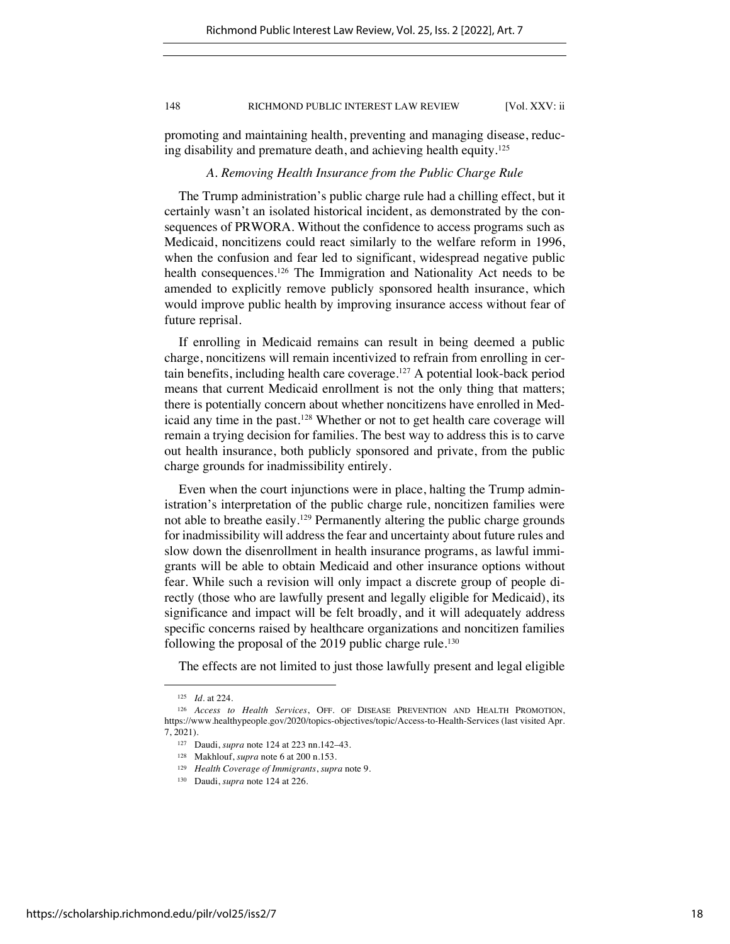promoting and maintaining health, preventing and managing disease, reducing disability and premature death, and achieving health equity.125

## *A. Removing Health Insurance from the Public Charge Rule*

The Trump administration's public charge rule had a chilling effect, but it certainly wasn't an isolated historical incident, as demonstrated by the consequences of PRWORA. Without the confidence to access programs such as Medicaid, noncitizens could react similarly to the welfare reform in 1996, when the confusion and fear led to significant, widespread negative public health consequences.<sup>126</sup> The Immigration and Nationality Act needs to be amended to explicitly remove publicly sponsored health insurance, which would improve public health by improving insurance access without fear of future reprisal.

If enrolling in Medicaid remains can result in being deemed a public charge, noncitizens will remain incentivized to refrain from enrolling in certain benefits, including health care coverage.127 A potential look-back period means that current Medicaid enrollment is not the only thing that matters; there is potentially concern about whether noncitizens have enrolled in Medicaid any time in the past.128 Whether or not to get health care coverage will remain a trying decision for families. The best way to address this is to carve out health insurance, both publicly sponsored and private, from the public charge grounds for inadmissibility entirely.

Even when the court injunctions were in place, halting the Trump administration's interpretation of the public charge rule, noncitizen families were not able to breathe easily.129 Permanently altering the public charge grounds for inadmissibility will address the fear and uncertainty about future rules and slow down the disenrollment in health insurance programs, as lawful immigrants will be able to obtain Medicaid and other insurance options without fear. While such a revision will only impact a discrete group of people directly (those who are lawfully present and legally eligible for Medicaid), its significance and impact will be felt broadly, and it will adequately address specific concerns raised by healthcare organizations and noncitizen families following the proposal of the 2019 public charge rule.<sup>130</sup>

The effects are not limited to just those lawfully present and legal eligible

<sup>125</sup> *Id.* at 224.

<sup>126</sup> *Access to Health Services*, OFF. OF DISEASE PREVENTION AND HEALTH PROMOTION, https://www.healthypeople.gov/2020/topics-objectives/topic/Access-to-Health-Services (last visited Apr. 7, 2021).

<sup>127</sup> Daudi, *supra* note 124 at 223 nn.142–43.

<sup>128</sup> Makhlouf, *supra* note 6 at 200 n.153.

<sup>129</sup> *Health Coverage of Immigrants*, *supra* note 9.

<sup>130</sup> Daudi, *supra* note 124 at 226.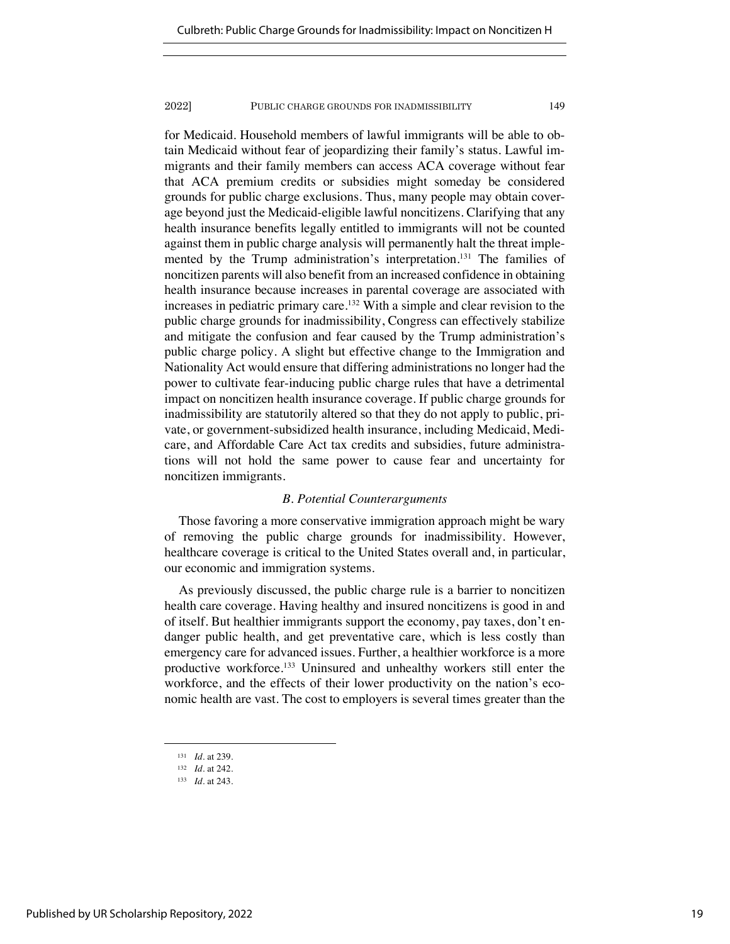for Medicaid. Household members of lawful immigrants will be able to obtain Medicaid without fear of jeopardizing their family's status. Lawful immigrants and their family members can access ACA coverage without fear that ACA premium credits or subsidies might someday be considered grounds for public charge exclusions. Thus, many people may obtain coverage beyond just the Medicaid-eligible lawful noncitizens. Clarifying that any health insurance benefits legally entitled to immigrants will not be counted against them in public charge analysis will permanently halt the threat implemented by the Trump administration's interpretation.<sup>131</sup> The families of noncitizen parents will also benefit from an increased confidence in obtaining health insurance because increases in parental coverage are associated with increases in pediatric primary care.<sup>132</sup> With a simple and clear revision to the public charge grounds for inadmissibility, Congress can effectively stabilize and mitigate the confusion and fear caused by the Trump administration's public charge policy. A slight but effective change to the Immigration and Nationality Act would ensure that differing administrations no longer had the power to cultivate fear-inducing public charge rules that have a detrimental impact on noncitizen health insurance coverage. If public charge grounds for inadmissibility are statutorily altered so that they do not apply to public, private, or government-subsidized health insurance, including Medicaid, Medicare, and Affordable Care Act tax credits and subsidies, future administrations will not hold the same power to cause fear and uncertainty for noncitizen immigrants.

## *B. Potential Counterarguments*

Those favoring a more conservative immigration approach might be wary of removing the public charge grounds for inadmissibility. However, healthcare coverage is critical to the United States overall and, in particular, our economic and immigration systems.

As previously discussed, the public charge rule is a barrier to noncitizen health care coverage. Having healthy and insured noncitizens is good in and of itself. But healthier immigrants support the economy, pay taxes, don't endanger public health, and get preventative care, which is less costly than emergency care for advanced issues. Further, a healthier workforce is a more productive workforce.<sup>133</sup> Uninsured and unhealthy workers still enter the workforce, and the effects of their lower productivity on the nation's economic health are vast. The cost to employers is several times greater than the

<sup>131</sup> *Id.* at 239.

<sup>132</sup> *Id.* at 242.

<sup>133</sup> *Id.* at 243.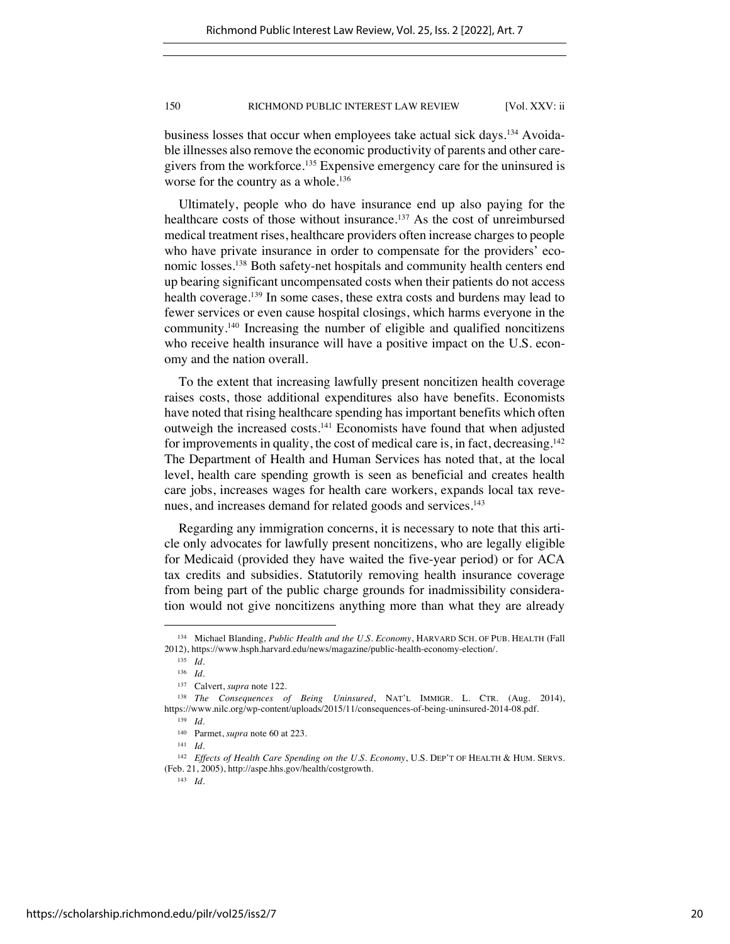business losses that occur when employees take actual sick days.134 Avoidable illnesses also remove the economic productivity of parents and other caregivers from the workforce.<sup>135</sup> Expensive emergency care for the uninsured is worse for the country as a whole.<sup>136</sup>

Ultimately, people who do have insurance end up also paying for the healthcare costs of those without insurance.<sup>137</sup> As the cost of unreimbursed medical treatment rises, healthcare providers often increase charges to people who have private insurance in order to compensate for the providers' economic losses.<sup>138</sup> Both safety-net hospitals and community health centers end up bearing significant uncompensated costs when their patients do not access health coverage.<sup>139</sup> In some cases, these extra costs and burdens may lead to fewer services or even cause hospital closings, which harms everyone in the community.140 Increasing the number of eligible and qualified noncitizens who receive health insurance will have a positive impact on the U.S. economy and the nation overall.

To the extent that increasing lawfully present noncitizen health coverage raises costs, those additional expenditures also have benefits. Economists have noted that rising healthcare spending has important benefits which often outweigh the increased costs.141 Economists have found that when adjusted for improvements in quality, the cost of medical care is, in fact, decreasing.<sup>142</sup> The Department of Health and Human Services has noted that, at the local level, health care spending growth is seen as beneficial and creates health care jobs, increases wages for health care workers, expands local tax revenues, and increases demand for related goods and services.<sup>143</sup>

Regarding any immigration concerns, it is necessary to note that this article only advocates for lawfully present noncitizens, who are legally eligible for Medicaid (provided they have waited the five-year period) or for ACA tax credits and subsidies. Statutorily removing health insurance coverage from being part of the public charge grounds for inadmissibility consideration would not give noncitizens anything more than what they are already

<sup>134</sup> Michael Blanding, *Public Health and the U.S. Economy*, HARVARD SCH. OF PUB. HEALTH (Fall 2012), https://www.hsph.harvard.edu/news/magazine/public-health-economy-election/.

<sup>135</sup> *Id.*

<sup>136</sup> *Id.*

<sup>137</sup> Calvert, *supra* note 122.

<sup>138</sup> *The Consequences of Being Uninsured*, NAT'L IMMIGR. L. CTR. (Aug. 2014), https://www.nilc.org/wp-content/uploads/2015/11/consequences-of-being-uninsured-2014-08.pdf.

<sup>139</sup> *Id.*

<sup>140</sup> Parmet, *supra* note 60 at 223.

<sup>141</sup> *Id.* 

<sup>142</sup> *Effects of Health Care Spending on the U.S. Economy*, U.S. DEP'T OF HEALTH & HUM. SERVS. (Feb. 21, 2005), http://aspe.hhs.gov/health/costgrowth.

<sup>143</sup> *Id.*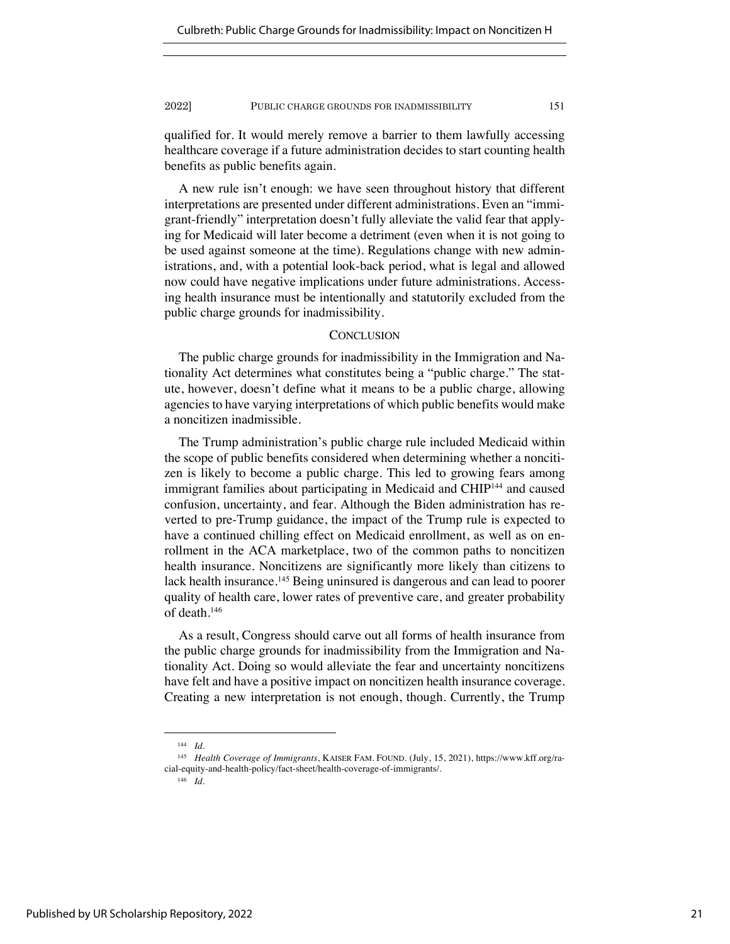qualified for. It would merely remove a barrier to them lawfully accessing healthcare coverage if a future administration decides to start counting health benefits as public benefits again.

A new rule isn't enough: we have seen throughout history that different interpretations are presented under different administrations. Even an "immigrant-friendly" interpretation doesn't fully alleviate the valid fear that applying for Medicaid will later become a detriment (even when it is not going to be used against someone at the time). Regulations change with new administrations, and, with a potential look-back period, what is legal and allowed now could have negative implications under future administrations. Accessing health insurance must be intentionally and statutorily excluded from the public charge grounds for inadmissibility.

## **CONCLUSION**

The public charge grounds for inadmissibility in the Immigration and Nationality Act determines what constitutes being a "public charge." The statute, however, doesn't define what it means to be a public charge, allowing agencies to have varying interpretations of which public benefits would make a noncitizen inadmissible.

The Trump administration's public charge rule included Medicaid within the scope of public benefits considered when determining whether a noncitizen is likely to become a public charge. This led to growing fears among immigrant families about participating in Medicaid and CHIP<sup>144</sup> and caused confusion, uncertainty, and fear. Although the Biden administration has reverted to pre-Trump guidance, the impact of the Trump rule is expected to have a continued chilling effect on Medicaid enrollment, as well as on enrollment in the ACA marketplace, two of the common paths to noncitizen health insurance. Noncitizens are significantly more likely than citizens to lack health insurance.<sup>145</sup> Being uninsured is dangerous and can lead to poorer quality of health care, lower rates of preventive care, and greater probability of death.146

As a result, Congress should carve out all forms of health insurance from the public charge grounds for inadmissibility from the Immigration and Nationality Act. Doing so would alleviate the fear and uncertainty noncitizens have felt and have a positive impact on noncitizen health insurance coverage. Creating a new interpretation is not enough, though. Currently, the Trump

<sup>144</sup> *Id.*

<sup>145</sup> *Health Coverage of Immigrants*, KAISER FAM. FOUND. (July, 15, 2021), https://www.kff.org/racial-equity-and-health-policy/fact-sheet/health-coverage-of-immigrants/.

<sup>146</sup> *Id*.